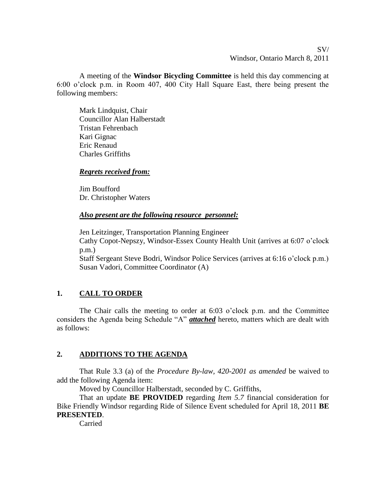SV/ Windsor, Ontario March 8, 2011

A meeting of the **Windsor Bicycling Committee** is held this day commencing at 6:00 o'clock p.m. in Room 407, 400 City Hall Square East, there being present the following members:

Mark Lindquist, Chair Councillor Alan Halberstadt Tristan Fehrenbach Kari Gignac Eric Renaud Charles Griffiths

# *Regrets received from:*

Jim Boufford Dr. Christopher Waters

### *Also present are the following resource personnel:*

Jen Leitzinger, Transportation Planning Engineer Cathy Copot-Nepszy, Windsor-Essex County Health Unit (arrives at 6:07 o'clock p.m.)

Staff Sergeant Steve Bodri, Windsor Police Services (arrives at 6:16 o'clock p.m.) Susan Vadori, Committee Coordinator (A)

# **1. CALL TO ORDER**

The Chair calls the meeting to order at 6:03 o'clock p.m. and the Committee considers the Agenda being Schedule "A" *attached* hereto, matters which are dealt with as follows:

# **2. ADDITIONS TO THE AGENDA**

That Rule 3.3 (a) of the *Procedure By-law, 420-2001 as amended* be waived to add the following Agenda item:

Moved by Councillor Halberstadt, seconded by C. Griffiths,

That an update **BE PROVIDED** regarding *Item 5.7* financial consideration for Bike Friendly Windsor regarding Ride of Silence Event scheduled for April 18, 2011 **BE PRESENTED**.

Carried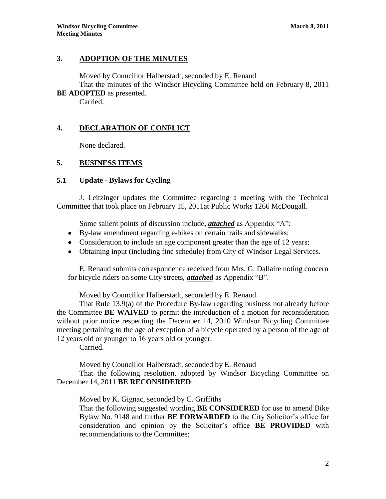#### **3. ADOPTION OF THE MINUTES**

Moved by Councillor Halberstadt, seconded by E. Renaud

That the minutes of the Windsor Bicycling Committee held on February 8, 2011 **BE ADOPTED** as presented.

Carried.

# **4. DECLARATION OF CONFLICT**

None declared.

### **5. BUSINESS ITEMS**

### **5.1 Update - Bylaws for Cycling**

J. Leitzinger updates the Committee regarding a meeting with the Technical Committee that took place on February 15, 2011at Public Works 1266 McDougall.

Some salient points of discussion include, *attached* as Appendix "A":

- By-law amendment regarding e-bikes on certain trails and sidewalks;
- Consideration to include an age component greater than the age of 12 years;
- Obtaining input (including fine schedule) from City of Windsor Legal Services.

E. Renaud submits correspondence received from Mrs. G. Dallaire noting concern for bicycle riders on some City streets, *attached* as Appendix "B".

Moved by Councillor Halberstadt, seconded by E. Renaud

That Rule 13.9(a) of the Procedure By-law regarding business not already before the Committee **BE WAIVED** to permit the introduction of a motion for reconsideration without prior notice respecting the December 14, 2010 Windsor Bicycling Committee meeting pertaining to the age of exception of a bicycle operated by a person of the age of 12 years old or younger to 16 years old or younger.

Carried.

Moved by Councillor Halberstadt, seconded by E. Renaud

That the following resolution, adopted by Windsor Bicycling Committee on December 14, 2011 **BE RECONSIDERED**:

Moved by K. Gignac, seconded by C. Griffiths

That the following suggested wording **BE CONSIDERED** for use to amend Bike Bylaw No. 9148 and further **BE FORWARDED** to the City Solicitor's office for consideration and opinion by the Solicitor's office **BE PROVIDED** with recommendations to the Committee;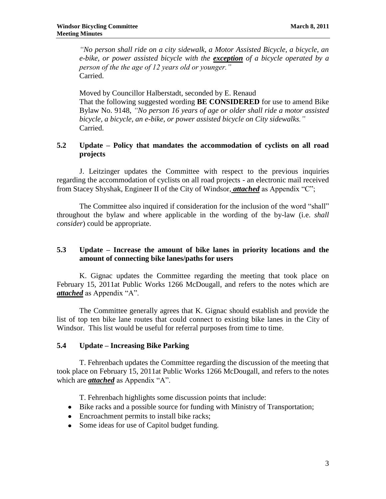*"No person shall ride on a city sidewalk, a Motor Assisted Bicycle, a bicycle, an e-bike, or power assisted bicycle with the exception of a bicycle operated by a person of the the age of 12 years old or younger."* Carried.

Moved by Councillor Halberstadt, seconded by E. Renaud That the following suggested wording **BE CONSIDERED** for use to amend Bike Bylaw No. 9148, *"No person 16 years of age or older shall ride a motor assisted bicycle, a bicycle, an e-bike, or power assisted bicycle on City sidewalks."* Carried.

# **5.2 Update – Policy that mandates the accommodation of cyclists on all road projects**

J. Leitzinger updates the Committee with respect to the previous inquiries regarding the accommodation of cyclists on all road projects - an electronic mail received from Stacey Shyshak, Engineer II of the City of Windsor, *attached* as Appendix "C";

The Committee also inquired if consideration for the inclusion of the word "shall" throughout the bylaw and where applicable in the wording of the by-law (i.e. *shall consider*) could be appropriate.

# **5.3 Update – Increase the amount of bike lanes in priority locations and the amount of connecting bike lanes/paths for users**

K. Gignac updates the Committee regarding the meeting that took place on February 15, 2011at Public Works 1266 McDougall, and refers to the notes which are *attached* as Appendix "A".

The Committee generally agrees that K. Gignac should establish and provide the list of top ten bike lane routes that could connect to existing bike lanes in the City of Windsor. This list would be useful for referral purposes from time to time.

# **5.4 Update – Increasing Bike Parking**

T. Fehrenbach updates the Committee regarding the discussion of the meeting that took place on February 15, 2011at Public Works 1266 McDougall, and refers to the notes which are *attached* as Appendix "A".

T. Fehrenbach highlights some discussion points that include:

- Bike racks and a possible source for funding with Ministry of Transportation;
- Encroachment permits to install bike racks;
- Some ideas for use of Capitol budget funding.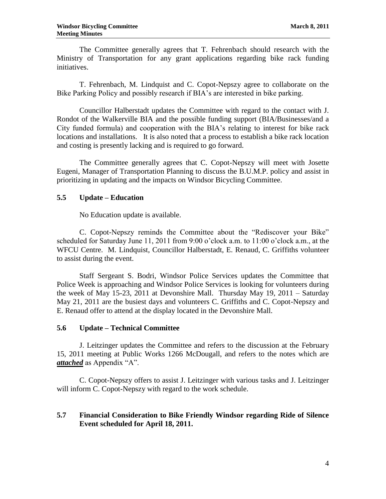The Committee generally agrees that T. Fehrenbach should research with the Ministry of Transportation for any grant applications regarding bike rack funding initiatives.

T. Fehrenbach, M. Lindquist and C. Copot-Nepszy agree to collaborate on the Bike Parking Policy and possibly research if BIA's are interested in bike parking.

Councillor Halberstadt updates the Committee with regard to the contact with J. Rondot of the Walkerville BIA and the possible funding support (BIA/Businesses/and a City funded formula) and cooperation with the BIA's relating to interest for bike rack locations and installations. It is also noted that a process to establish a bike rack location and costing is presently lacking and is required to go forward.

The Committee generally agrees that C. Copot-Nepszy will meet with Josette Eugeni, Manager of Transportation Planning to discuss the B.U.M.P. policy and assist in prioritizing in updating and the impacts on Windsor Bicycling Committee.

### **5.5 Update – Education**

No Education update is available.

C. Copot-Nepszy reminds the Committee about the "Rediscover your Bike" scheduled for Saturday June 11, 2011 from 9:00 o'clock a.m. to 11:00 o'clock a.m., at the WFCU Centre. M. Lindquist, Councillor Halberstadt, E. Renaud, C. Griffiths volunteer to assist during the event.

Staff Sergeant S. Bodri, Windsor Police Services updates the Committee that Police Week is approaching and Windsor Police Services is looking for volunteers during the week of May 15-23, 2011 at Devonshire Mall. Thursday May 19, 2011 – Saturday May 21, 2011 are the busiest days and volunteers C. Griffiths and C. Copot-Nepszy and E. Renaud offer to attend at the display located in the Devonshire Mall.

#### **5.6 Update – Technical Committee**

J. Leitzinger updates the Committee and refers to the discussion at the February 15, 2011 meeting at Public Works 1266 McDougall, and refers to the notes which are *attached* as Appendix "A".

C. Copot-Nepszy offers to assist J. Leitzinger with various tasks and J. Leitzinger will inform C. Copot-Nepszy with regard to the work schedule.

### **5.7 Financial Consideration to Bike Friendly Windsor regarding Ride of Silence Event scheduled for April 18, 2011.**